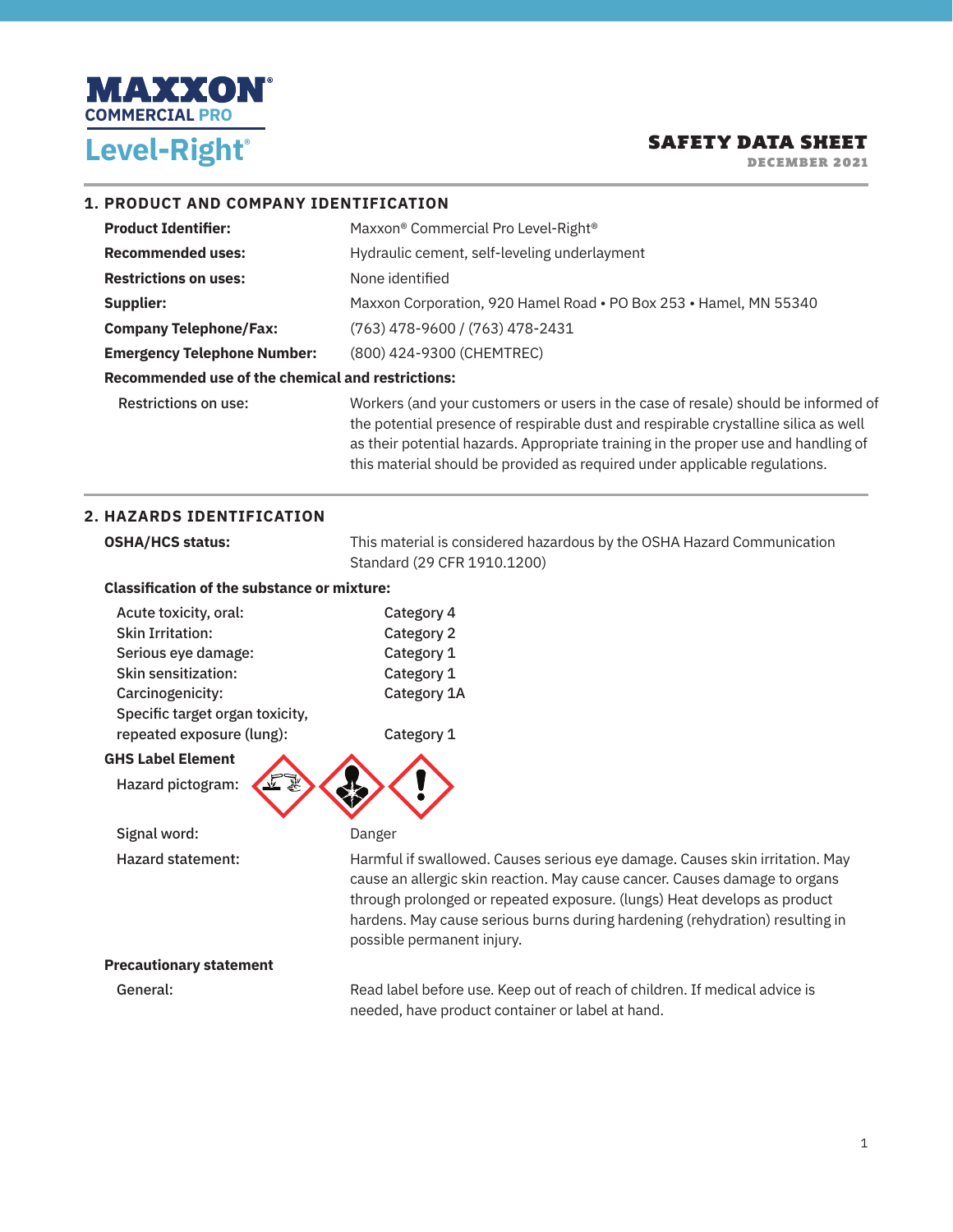

DECEMBER 2021

#### **1. PRODUCT AND COMPANY IDENTIFICATION**

| <b>Product Identifier:</b>                        | Maxxon® Commercial Pro Level-Right®                                                                                                                                                                                                                                                                                                          |
|---------------------------------------------------|----------------------------------------------------------------------------------------------------------------------------------------------------------------------------------------------------------------------------------------------------------------------------------------------------------------------------------------------|
| <b>Recommended uses:</b>                          | Hydraulic cement, self-leveling underlayment                                                                                                                                                                                                                                                                                                 |
| <b>Restrictions on uses:</b>                      | None identified                                                                                                                                                                                                                                                                                                                              |
| Supplier:                                         | Maxxon Corporation, 920 Hamel Road . PO Box 253 . Hamel, MN 55340                                                                                                                                                                                                                                                                            |
| <b>Company Telephone/Fax:</b>                     | (763) 478-9600 / (763) 478-2431                                                                                                                                                                                                                                                                                                              |
| <b>Emergency Telephone Number:</b>                | (800) 424-9300 (CHEMTREC)                                                                                                                                                                                                                                                                                                                    |
| Recommended use of the chemical and restrictions: |                                                                                                                                                                                                                                                                                                                                              |
| Restrictions on use:                              | Workers (and your customers or users in the case of resale) should be informed of<br>the potential presence of respirable dust and respirable crystalline silica as well<br>as their potential hazards. Appropriate training in the proper use and handling of<br>this material should be provided as required under applicable regulations. |

#### **2. HAZARDS IDENTIFICATION**

| This material is considered hazardous by the OSHA Hazard Communication                                                                                                                                                                                                                                                                               |  |
|------------------------------------------------------------------------------------------------------------------------------------------------------------------------------------------------------------------------------------------------------------------------------------------------------------------------------------------------------|--|
| Standard (29 CFR 1910.1200)                                                                                                                                                                                                                                                                                                                          |  |
| <b>Classification of the substance or mixture:</b>                                                                                                                                                                                                                                                                                                   |  |
| Category 4                                                                                                                                                                                                                                                                                                                                           |  |
| Category 2                                                                                                                                                                                                                                                                                                                                           |  |
| Category 1                                                                                                                                                                                                                                                                                                                                           |  |
| Category 1                                                                                                                                                                                                                                                                                                                                           |  |
| Category 1A                                                                                                                                                                                                                                                                                                                                          |  |
|                                                                                                                                                                                                                                                                                                                                                      |  |
| Category 1                                                                                                                                                                                                                                                                                                                                           |  |
|                                                                                                                                                                                                                                                                                                                                                      |  |
|                                                                                                                                                                                                                                                                                                                                                      |  |
|                                                                                                                                                                                                                                                                                                                                                      |  |
| Danger                                                                                                                                                                                                                                                                                                                                               |  |
| Harmful if swallowed. Causes serious eye damage. Causes skin irritation. May<br>cause an allergic skin reaction. May cause cancer. Causes damage to organs<br>through prolonged or repeated exposure. (lungs) Heat develops as product<br>hardens. May cause serious burns during hardening (rehydration) resulting in<br>possible permanent injury. |  |
|                                                                                                                                                                                                                                                                                                                                                      |  |

#### **Precautionary statement**

General: General: Read label before use. Keep out of reach of children. If medical advice is needed, have product container or label at hand.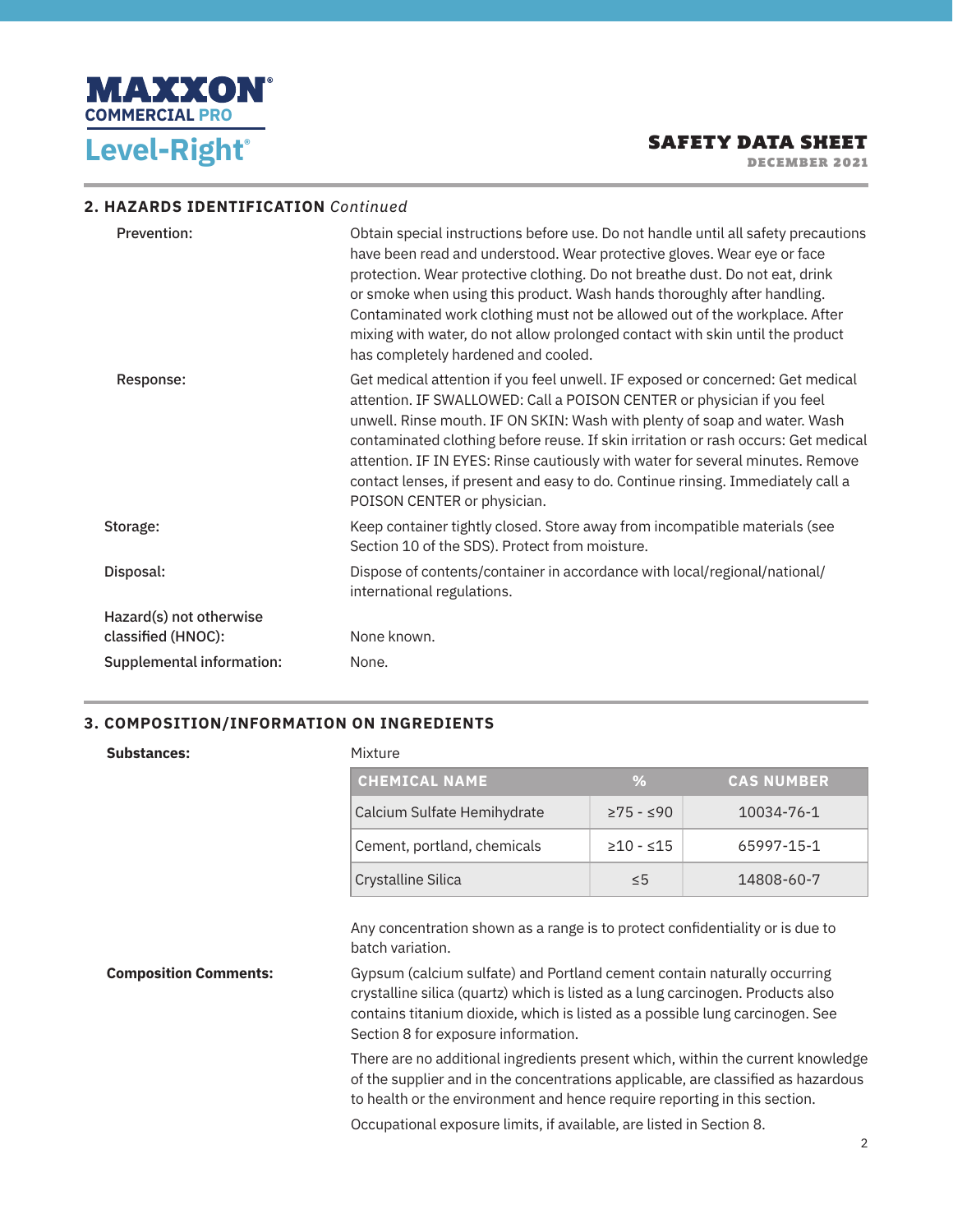

DECEMBER 2021

#### **2. HAZARDS IDENTIFICATION** *Continued*

| <b>Prevention:</b>               | Obtain special instructions before use. Do not handle until all safety precautions<br>have been read and understood. Wear protective gloves. Wear eye or face<br>protection. Wear protective clothing. Do not breathe dust. Do not eat, drink<br>or smoke when using this product. Wash hands thoroughly after handling.<br>Contaminated work clothing must not be allowed out of the workplace. After<br>mixing with water, do not allow prolonged contact with skin until the product<br>has completely hardened and cooled.  |
|----------------------------------|---------------------------------------------------------------------------------------------------------------------------------------------------------------------------------------------------------------------------------------------------------------------------------------------------------------------------------------------------------------------------------------------------------------------------------------------------------------------------------------------------------------------------------|
| Response:                        | Get medical attention if you feel unwell. IF exposed or concerned: Get medical<br>attention. IF SWALLOWED: Call a POISON CENTER or physician if you feel<br>unwell. Rinse mouth. IF ON SKIN: Wash with plenty of soap and water. Wash<br>contaminated clothing before reuse. If skin irritation or rash occurs: Get medical<br>attention. IF IN EYES: Rinse cautiously with water for several minutes. Remove<br>contact lenses, if present and easy to do. Continue rinsing. Immediately call a<br>POISON CENTER or physician. |
| Storage:                         | Keep container tightly closed. Store away from incompatible materials (see<br>Section 10 of the SDS). Protect from moisture.                                                                                                                                                                                                                                                                                                                                                                                                    |
| Disposal:                        | Dispose of contents/container in accordance with local/regional/national/<br>international regulations.                                                                                                                                                                                                                                                                                                                                                                                                                         |
| Hazard(s) not otherwise          |                                                                                                                                                                                                                                                                                                                                                                                                                                                                                                                                 |
| classified (HNOC):               | None known.                                                                                                                                                                                                                                                                                                                                                                                                                                                                                                                     |
| <b>Supplemental information:</b> | None.                                                                                                                                                                                                                                                                                                                                                                                                                                                                                                                           |

#### **3. COMPOSITION/INFORMATION ON INGREDIENTS**

#### **Substances:** Mixture

| <b>CHEMICAL NAME</b>        | $\frac{6}{2}$  | <b>CAS NUMBER</b> |
|-----------------------------|----------------|-------------------|
| Calcium Sulfate Hemihydrate | $≥75 - ≤90$    | 10034-76-1        |
| Cement, portland, chemicals | $\geq 10 - 15$ | 65997-15-1        |
| <b>Crystalline Silica</b>   | $\leq 5$       | 14808-60-7        |

Any concentration shown as a range is to protect confidentiality or is due to batch variation.

**Composition Comments:** Gypsum (calcium sulfate) and Portland cement contain naturally occurring crystalline silica (quartz) which is listed as a lung carcinogen. Products also contains titanium dioxide, which is listed as a possible lung carcinogen. See Section 8 for exposure information.

> There are no additional ingredients present which, within the current knowledge of the supplier and in the concentrations applicable, are classified as hazardous to health or the environment and hence require reporting in this section.

Occupational exposure limits, if available, are listed in Section 8.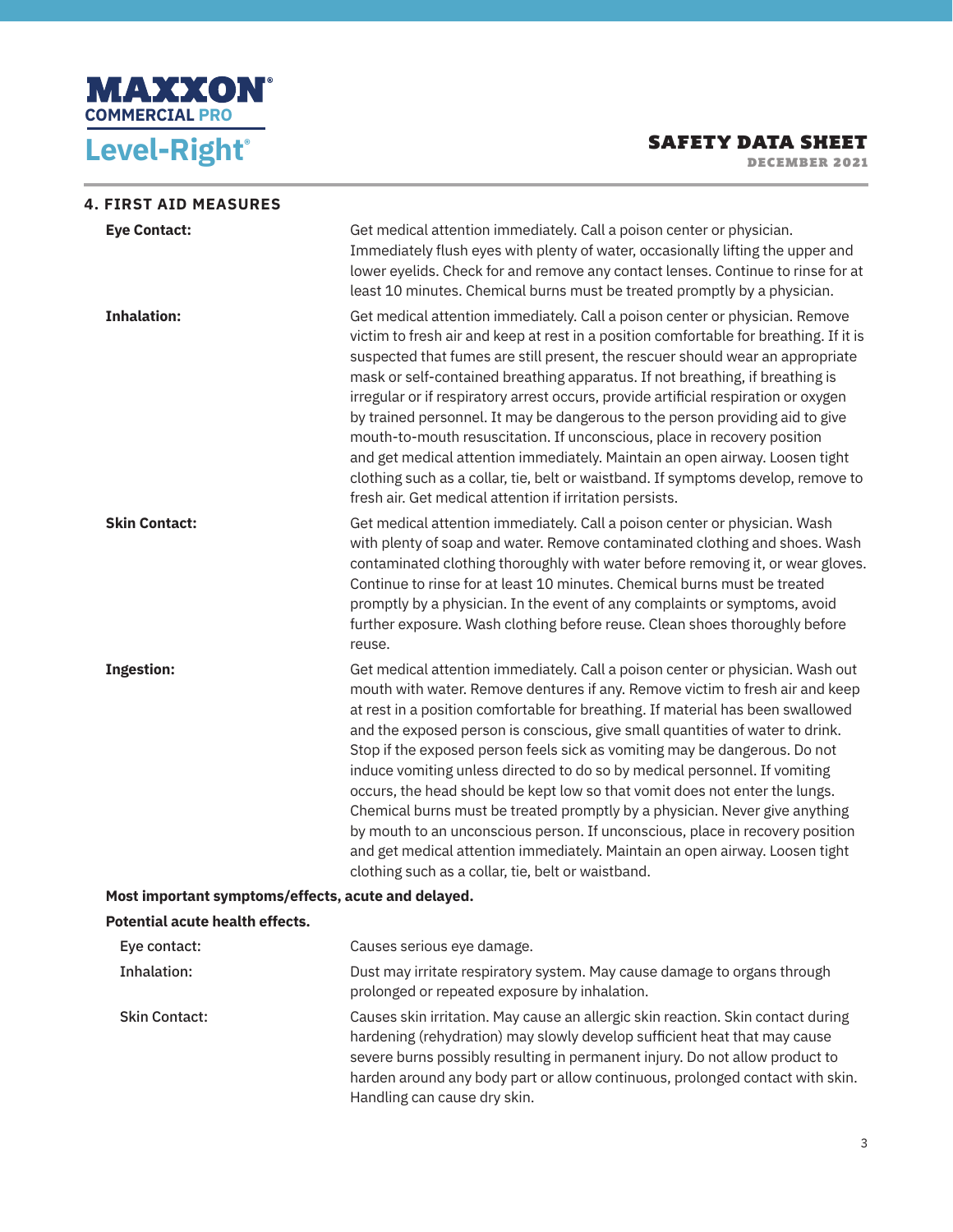

#### SAFETY DATA SHEET DECEMBER 2021

**4. FIRST AID MEASURES Eye Contact: Get medical attention immediately. Call a poison center or physician.** Immediately flush eyes with plenty of water, occasionally lifting the upper and lower eyelids. Check for and remove any contact lenses. Continue to rinse for at least 10 minutes. Chemical burns must be treated promptly by a physician. **Inhalation:** Get medical attention immediately. Call a poison center or physician. Remove victim to fresh air and keep at rest in a position comfortable for breathing. If it is suspected that fumes are still present, the rescuer should wear an appropriate mask or self-contained breathing apparatus. If not breathing, if breathing is irregular or if respiratory arrest occurs, provide artificial respiration or oxygen by trained personnel. It may be dangerous to the person providing aid to give mouth-to-mouth resuscitation. If unconscious, place in recovery position and get medical attention immediately. Maintain an open airway. Loosen tight clothing such as a collar, tie, belt or waistband. If symptoms develop, remove to fresh air. Get medical attention if irritation persists. **Skin Contact: Get medical attention immediately. Call a poison center or physician. Wash** with plenty of soap and water. Remove contaminated clothing and shoes. Wash contaminated clothing thoroughly with water before removing it, or wear gloves. Continue to rinse for at least 10 minutes. Chemical burns must be treated promptly by a physician. In the event of any complaints or symptoms, avoid further exposure. Wash clothing before reuse. Clean shoes thoroughly before reuse. **Ingestion: Get medical attention immediately. Call a poison center or physician. Wash out** mouth with water. Remove dentures if any. Remove victim to fresh air and keep at rest in a position comfortable for breathing. If material has been swallowed and the exposed person is conscious, give small quantities of water to drink. Stop if the exposed person feels sick as vomiting may be dangerous. Do not induce vomiting unless directed to do so by medical personnel. If vomiting occurs, the head should be kept low so that vomit does not enter the lungs. Chemical burns must be treated promptly by a physician. Never give anything by mouth to an unconscious person. If unconscious, place in recovery position and get medical attention immediately. Maintain an open airway. Loosen tight clothing such as a collar, tie, belt or waistband. **Most important symptoms/effects, acute and delayed. Potential acute health effects.** Eye contact: Causes serious eye damage.

Inhalation: Dust may irritate respiratory system. May cause damage to organs through prolonged or repeated exposure by inhalation. Skin Contact: Causes skin irritation. May cause an allergic skin reaction. Skin contact during hardening (rehydration) may slowly develop sufficient heat that may cause severe burns possibly resulting in permanent injury. Do not allow product to harden around any body part or allow continuous, prolonged contact with skin. Handling can cause dry skin.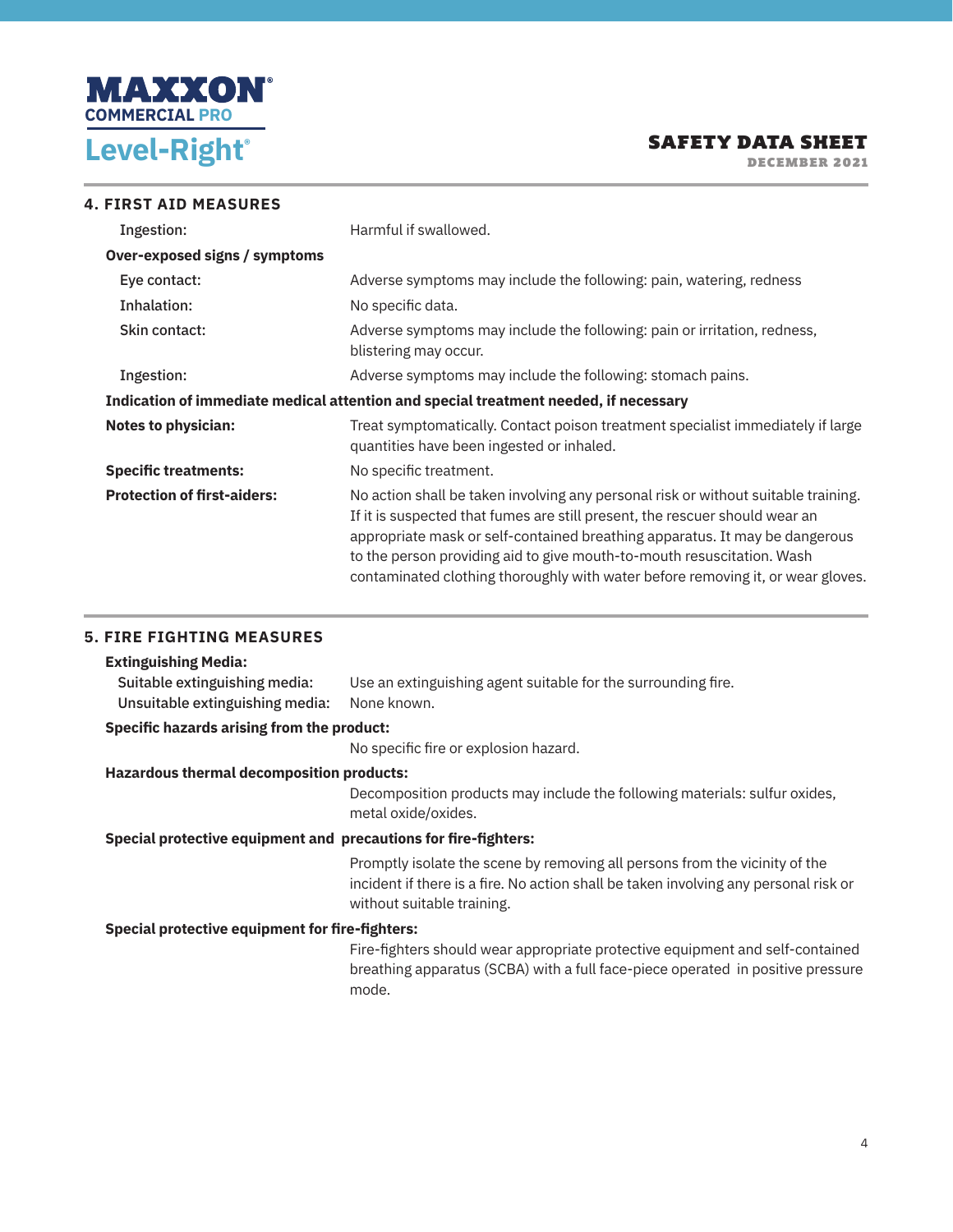

DECEMBER 2021

| <b>4. FIRST AID MEASURES</b>         |                                                                                                                                                                                                                                                                                                                                                                                                               |
|--------------------------------------|---------------------------------------------------------------------------------------------------------------------------------------------------------------------------------------------------------------------------------------------------------------------------------------------------------------------------------------------------------------------------------------------------------------|
| Ingestion:                           | Harmful if swallowed.                                                                                                                                                                                                                                                                                                                                                                                         |
| <b>Over-exposed signs / symptoms</b> |                                                                                                                                                                                                                                                                                                                                                                                                               |
| Eye contact:                         | Adverse symptoms may include the following: pain, watering, redness                                                                                                                                                                                                                                                                                                                                           |
| Inhalation:                          | No specific data.                                                                                                                                                                                                                                                                                                                                                                                             |
| Skin contact:                        | Adverse symptoms may include the following: pain or irritation, redness,<br>blistering may occur.                                                                                                                                                                                                                                                                                                             |
| Ingestion:                           | Adverse symptoms may include the following: stomach pains.                                                                                                                                                                                                                                                                                                                                                    |
|                                      | Indication of immediate medical attention and special treatment needed, if necessary                                                                                                                                                                                                                                                                                                                          |
| <b>Notes to physician:</b>           | Treat symptomatically. Contact poison treatment specialist immediately if large<br>quantities have been ingested or inhaled.                                                                                                                                                                                                                                                                                  |
| <b>Specific treatments:</b>          | No specific treatment.                                                                                                                                                                                                                                                                                                                                                                                        |
| <b>Protection of first-aiders:</b>   | No action shall be taken involving any personal risk or without suitable training.<br>If it is suspected that fumes are still present, the rescuer should wear an<br>appropriate mask or self-contained breathing apparatus. It may be dangerous<br>to the person providing aid to give mouth-to-mouth resuscitation. Wash<br>contaminated clothing thoroughly with water before removing it, or wear gloves. |

#### **5. FIRE FIGHTING MEASURES**

## **Extinguishing Media:** Suitable extinguishing media: Use an extinguishing agent suitable for the surrounding fire. Unsuitable extinguishing media: None known. **Specific hazards arising from the product:** No specific fire or explosion hazard. **Hazardous thermal decomposition products:** Decomposition products may include the following materials: sulfur oxides, metal oxide/oxides. **Special protective equipment and precautions for fire-fighters:** Promptly isolate the scene by removing all persons from the vicinity of the incident if there is a fire. No action shall be taken involving any personal risk or without suitable training. **Special protective equipment for fire-fighters:** Fire-fighters should wear appropriate protective equipment and self-contained breathing apparatus (SCBA) with a full face-piece operated in positive pressure mode.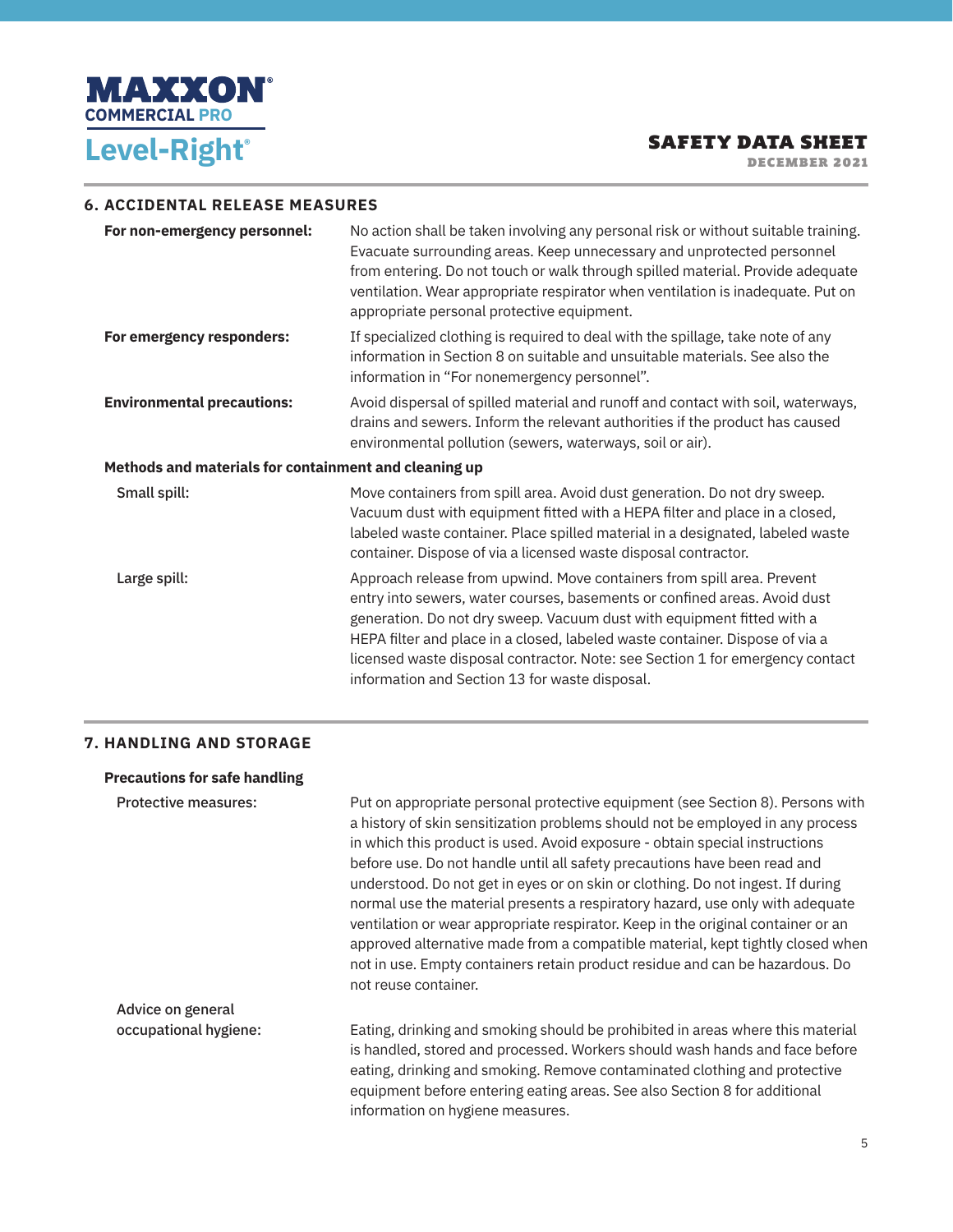

DECEMBER 2021

#### **6. ACCIDENTAL RELEASE MEASURES**

| For non-emergency personnel:                          | No action shall be taken involving any personal risk or without suitable training.<br>Evacuate surrounding areas. Keep unnecessary and unprotected personnel<br>from entering. Do not touch or walk through spilled material. Provide adequate<br>ventilation. Wear appropriate respirator when ventilation is inadequate. Put on<br>appropriate personal protective equipment.                                                                  |  |
|-------------------------------------------------------|--------------------------------------------------------------------------------------------------------------------------------------------------------------------------------------------------------------------------------------------------------------------------------------------------------------------------------------------------------------------------------------------------------------------------------------------------|--|
| For emergency responders:                             | If specialized clothing is required to deal with the spillage, take note of any<br>information in Section 8 on suitable and unsuitable materials. See also the<br>information in "For nonemergency personnel".                                                                                                                                                                                                                                   |  |
| <b>Environmental precautions:</b>                     | Avoid dispersal of spilled material and runoff and contact with soil, waterways,<br>drains and sewers. Inform the relevant authorities if the product has caused<br>environmental pollution (sewers, waterways, soil or air).                                                                                                                                                                                                                    |  |
| Methods and materials for containment and cleaning up |                                                                                                                                                                                                                                                                                                                                                                                                                                                  |  |
| Small spill:                                          | Move containers from spill area. Avoid dust generation. Do not dry sweep.<br>Vacuum dust with equipment fitted with a HEPA filter and place in a closed,<br>labeled waste container. Place spilled material in a designated, labeled waste<br>container. Dispose of via a licensed waste disposal contractor.                                                                                                                                    |  |
| Large spill:                                          | Approach release from upwind. Move containers from spill area. Prevent<br>entry into sewers, water courses, basements or confined areas. Avoid dust<br>generation. Do not dry sweep. Vacuum dust with equipment fitted with a<br>HEPA filter and place in a closed, labeled waste container. Dispose of via a<br>licensed waste disposal contractor. Note: see Section 1 for emergency contact<br>information and Section 13 for waste disposal. |  |

#### **7. HANDLING AND STORAGE**

#### **Precautions for safe handling**

| <b>Protective measures:</b> | Put on appropriate personal protective equipment (see Section 8). Persons with<br>a history of skin sensitization problems should not be employed in any process<br>in which this product is used. Avoid exposure - obtain special instructions<br>before use. Do not handle until all safety precautions have been read and<br>understood. Do not get in eyes or on skin or clothing. Do not ingest. If during<br>normal use the material presents a respiratory hazard, use only with adequate<br>ventilation or wear appropriate respirator. Keep in the original container or an<br>approved alternative made from a compatible material, kept tightly closed when<br>not in use. Empty containers retain product residue and can be hazardous. Do<br>not reuse container. |
|-----------------------------|--------------------------------------------------------------------------------------------------------------------------------------------------------------------------------------------------------------------------------------------------------------------------------------------------------------------------------------------------------------------------------------------------------------------------------------------------------------------------------------------------------------------------------------------------------------------------------------------------------------------------------------------------------------------------------------------------------------------------------------------------------------------------------|
| Advice on general           |                                                                                                                                                                                                                                                                                                                                                                                                                                                                                                                                                                                                                                                                                                                                                                                |
| occupational hygiene:       | Eating, drinking and smoking should be prohibited in areas where this material<br>is handled, stored and processed. Workers should wash hands and face before<br>eating, drinking and smoking. Remove contaminated clothing and protective<br>equipment before entering eating areas. See also Section 8 for additional<br>information on hygiene measures.                                                                                                                                                                                                                                                                                                                                                                                                                    |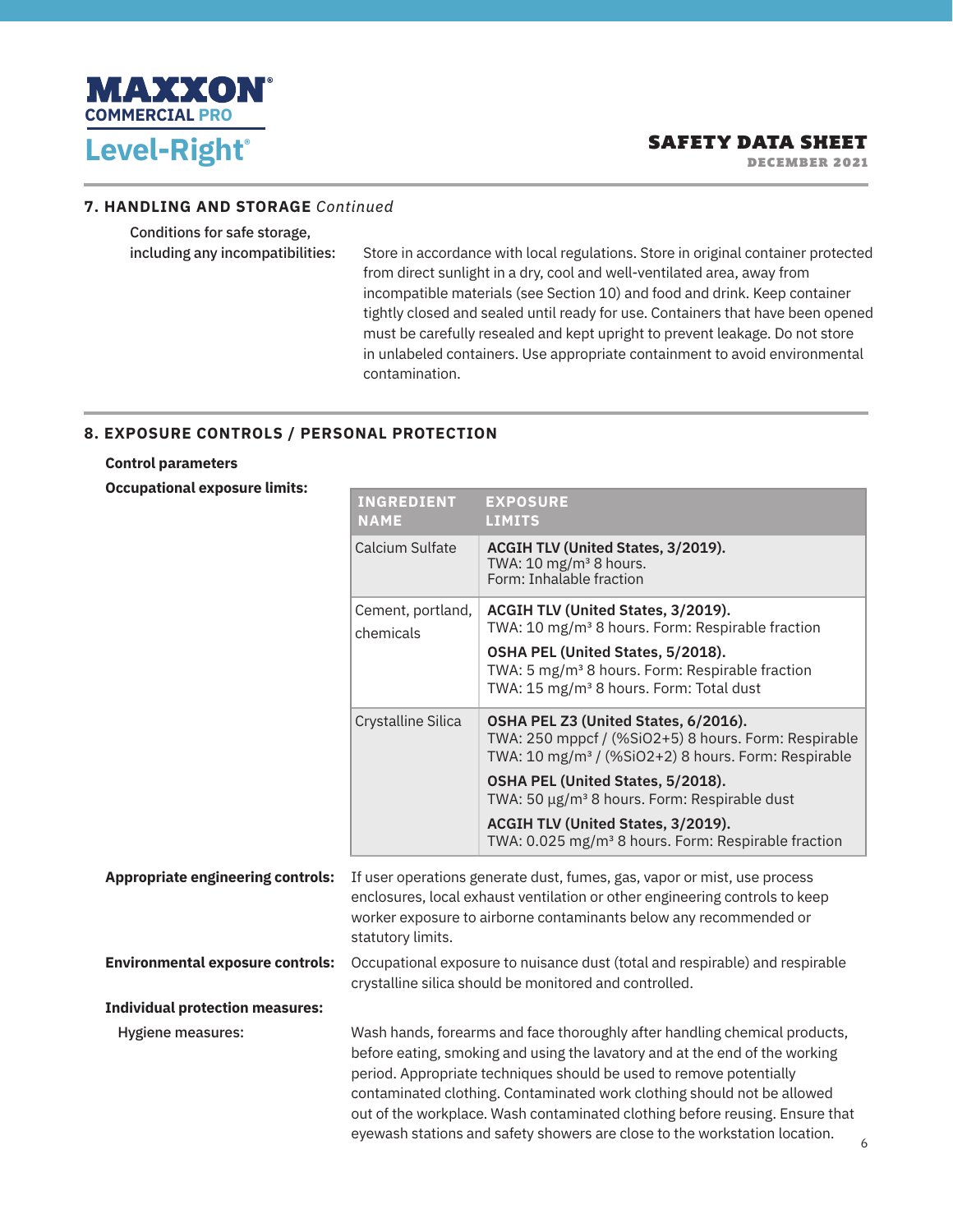

DECEMBER 2021

#### **7. HANDLING AND STORAGE** *Continued*

Conditions for safe storage,

including any incompatibilities: Store in accordance with local regulations. Store in original container protected from direct sunlight in a dry, cool and well-ventilated area, away from incompatible materials (see Section 10) and food and drink. Keep container tightly closed and sealed until ready for use. Containers that have been opened must be carefully resealed and kept upright to prevent leakage. Do not store in unlabeled containers. Use appropriate containment to avoid environmental contamination.

#### **8. EXPOSURE CONTROLS / PERSONAL PROTECTION**

#### **Control parameters**

**Occupational exposure limits:**

|                                          | <b>INGREDIENT</b><br><b>NAME</b>                                                                                                                                                                                                                                                                                                                                                                                                                                          | <b>EXPOSURE</b><br><b>LIMITS</b>                                                                                                                                                                                                                              |
|------------------------------------------|---------------------------------------------------------------------------------------------------------------------------------------------------------------------------------------------------------------------------------------------------------------------------------------------------------------------------------------------------------------------------------------------------------------------------------------------------------------------------|---------------------------------------------------------------------------------------------------------------------------------------------------------------------------------------------------------------------------------------------------------------|
|                                          | Calcium Sulfate                                                                                                                                                                                                                                                                                                                                                                                                                                                           | ACGIH TLV (United States, 3/2019).<br>TWA: 10 mg/m <sup>3</sup> 8 hours.<br>Form: Inhalable fraction                                                                                                                                                          |
|                                          | Cement, portland,<br>chemicals                                                                                                                                                                                                                                                                                                                                                                                                                                            | ACGIH TLV (United States, 3/2019).<br>TWA: 10 mg/m <sup>3</sup> 8 hours. Form: Respirable fraction<br>OSHA PEL (United States, 5/2018).<br>TWA: 5 mg/m <sup>3</sup> 8 hours. Form: Respirable fraction<br>TWA: 15 mg/m <sup>3</sup> 8 hours. Form: Total dust |
|                                          | Crystalline Silica                                                                                                                                                                                                                                                                                                                                                                                                                                                        | OSHA PEL Z3 (United States, 6/2016).<br>TWA: 250 mppcf / (%SiO2+5) 8 hours. Form: Respirable<br>TWA: 10 mg/m <sup>3</sup> / (%SiO2+2) 8 hours. Form: Respirable                                                                                               |
|                                          |                                                                                                                                                                                                                                                                                                                                                                                                                                                                           | OSHA PEL (United States, 5/2018).<br>TWA: 50 µg/m <sup>3</sup> 8 hours. Form: Respirable dust                                                                                                                                                                 |
|                                          |                                                                                                                                                                                                                                                                                                                                                                                                                                                                           | ACGIH TLV (United States, 3/2019).<br>TWA: 0.025 mg/m <sup>3</sup> 8 hours. Form: Respirable fraction                                                                                                                                                         |
| <b>Appropriate engineering controls:</b> | If user operations generate dust, fumes, gas, vapor or mist, use process<br>enclosures, local exhaust ventilation or other engineering controls to keep<br>worker exposure to airborne contaminants below any recommended or<br>statutory limits.                                                                                                                                                                                                                         |                                                                                                                                                                                                                                                               |
| <b>Environmental exposure controls:</b>  | Occupational exposure to nuisance dust (total and respirable) and respirable<br>crystalline silica should be monitored and controlled.                                                                                                                                                                                                                                                                                                                                    |                                                                                                                                                                                                                                                               |
| <b>Individual protection measures:</b>   |                                                                                                                                                                                                                                                                                                                                                                                                                                                                           |                                                                                                                                                                                                                                                               |
| Hygiene measures:                        | Wash hands, forearms and face thoroughly after handling chemical products,<br>before eating, smoking and using the lavatory and at the end of the working<br>period. Appropriate techniques should be used to remove potentially<br>contaminated clothing. Contaminated work clothing should not be allowed<br>out of the workplace. Wash contaminated clothing before reusing. Ensure that<br>eyewash stations and safety showers are close to the workstation location. |                                                                                                                                                                                                                                                               |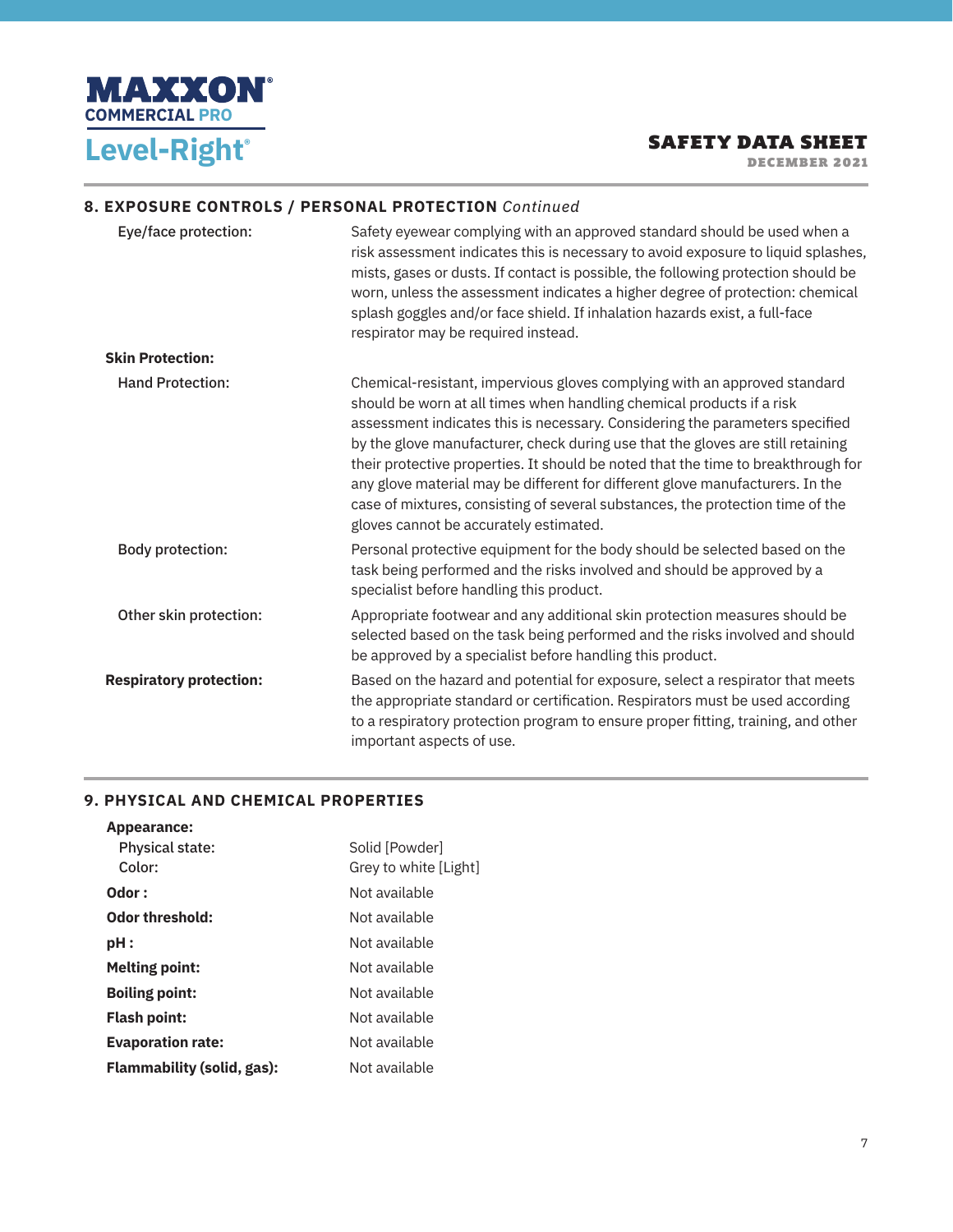

DECEMBER 2021

#### **8. EXPOSURE CONTROLS / PERSONAL PROTECTION** *Continued*

| Eye/face protection:           | Safety eyewear complying with an approved standard should be used when a<br>risk assessment indicates this is necessary to avoid exposure to liquid splashes,<br>mists, gases or dusts. If contact is possible, the following protection should be<br>worn, unless the assessment indicates a higher degree of protection: chemical<br>splash goggles and/or face shield. If inhalation hazards exist, a full-face<br>respirator may be required instead.                                                                                                                                                               |
|--------------------------------|-------------------------------------------------------------------------------------------------------------------------------------------------------------------------------------------------------------------------------------------------------------------------------------------------------------------------------------------------------------------------------------------------------------------------------------------------------------------------------------------------------------------------------------------------------------------------------------------------------------------------|
| <b>Skin Protection:</b>        |                                                                                                                                                                                                                                                                                                                                                                                                                                                                                                                                                                                                                         |
| <b>Hand Protection:</b>        | Chemical-resistant, impervious gloves complying with an approved standard<br>should be worn at all times when handling chemical products if a risk<br>assessment indicates this is necessary. Considering the parameters specified<br>by the glove manufacturer, check during use that the gloves are still retaining<br>their protective properties. It should be noted that the time to breakthrough for<br>any glove material may be different for different glove manufacturers. In the<br>case of mixtures, consisting of several substances, the protection time of the<br>gloves cannot be accurately estimated. |
| <b>Body protection:</b>        | Personal protective equipment for the body should be selected based on the<br>task being performed and the risks involved and should be approved by a<br>specialist before handling this product.                                                                                                                                                                                                                                                                                                                                                                                                                       |
| Other skin protection:         | Appropriate footwear and any additional skin protection measures should be<br>selected based on the task being performed and the risks involved and should<br>be approved by a specialist before handling this product.                                                                                                                                                                                                                                                                                                                                                                                                 |
| <b>Respiratory protection:</b> | Based on the hazard and potential for exposure, select a respirator that meets<br>the appropriate standard or certification. Respirators must be used according<br>to a respiratory protection program to ensure proper fitting, training, and other<br>important aspects of use.                                                                                                                                                                                                                                                                                                                                       |

#### **9. PHYSICAL AND CHEMICAL PROPERTIES**

| Appearance:                       |                       |
|-----------------------------------|-----------------------|
| <b>Physical state:</b>            | Solid [Powder]        |
| Color:                            | Grey to white [Light] |
| Odor:                             | Not available         |
| <b>Odor threshold:</b>            | Not available         |
| pH :                              | Not available         |
| <b>Melting point:</b>             | Not available         |
| <b>Boiling point:</b>             | Not available         |
| <b>Flash point:</b>               | Not available         |
| <b>Evaporation rate:</b>          | Not available         |
| <b>Flammability (solid, gas):</b> | Not available         |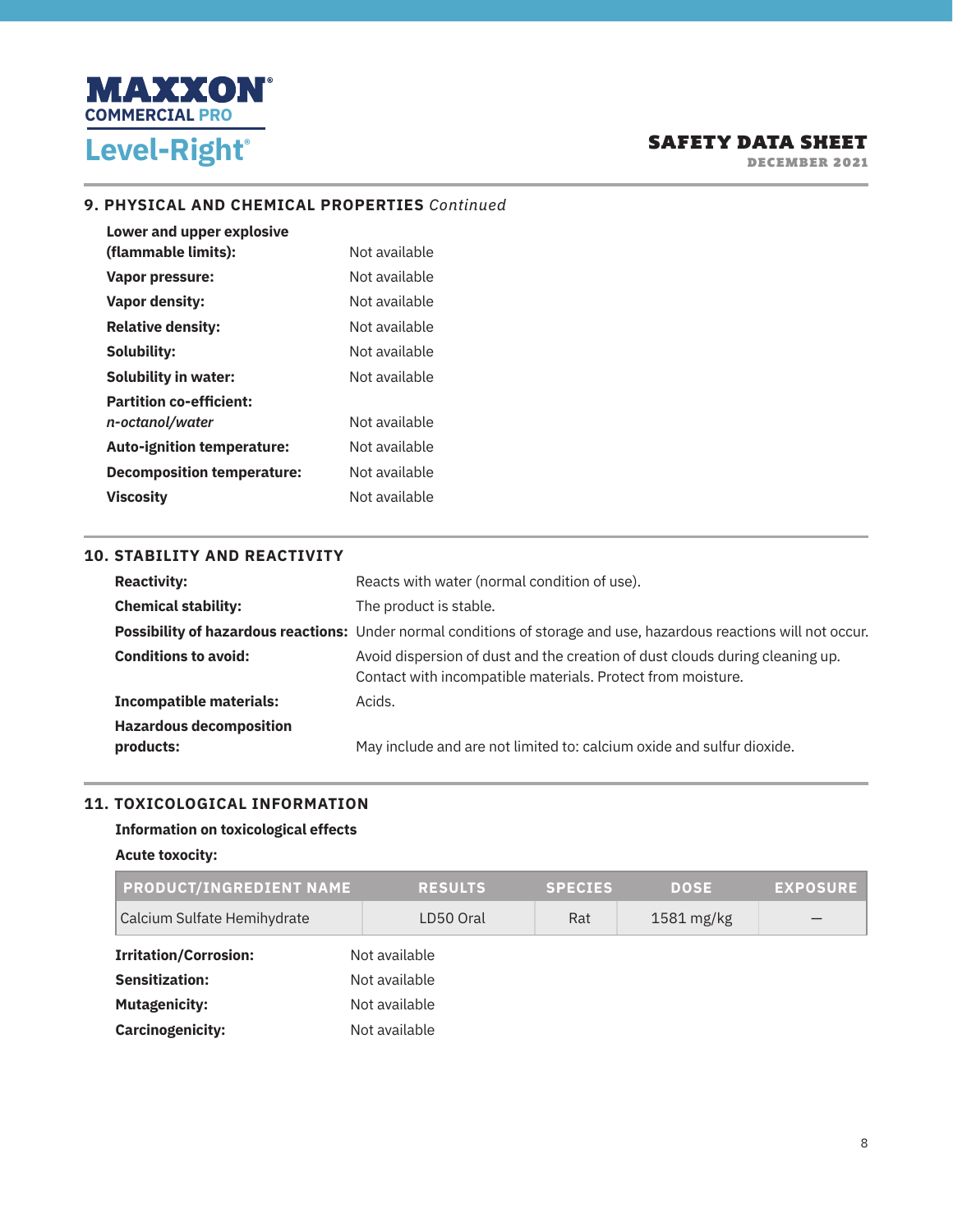

DECEMBER 2021

#### **9. PHYSICAL AND CHEMICAL PROPERTIES** *Continued*

| Lower and upper explosive         |               |
|-----------------------------------|---------------|
| (flammable limits):               | Not available |
| Vapor pressure:                   | Not available |
| <b>Vapor density:</b>             | Not available |
| <b>Relative density:</b>          | Not available |
| Solubility:                       | Not available |
| <b>Solubility in water:</b>       | Not available |
| <b>Partition co-efficient:</b>    |               |
| n-octanol/water                   | Not available |
| <b>Auto-ignition temperature:</b> | Not available |
| <b>Decomposition temperature:</b> | Not available |
| <b>Viscosity</b>                  | Not available |

#### **10. STABILITY AND REACTIVITY**

| <b>Reactivity:</b>                          | Reacts with water (normal condition of use).                                                                                                |
|---------------------------------------------|---------------------------------------------------------------------------------------------------------------------------------------------|
| <b>Chemical stability:</b>                  | The product is stable.                                                                                                                      |
|                                             | Possibility of hazardous reactions: Under normal conditions of storage and use, hazardous reactions will not occur.                         |
| <b>Conditions to avoid:</b>                 | Avoid dispersion of dust and the creation of dust clouds during cleaning up.<br>Contact with incompatible materials. Protect from moisture. |
| <b>Incompatible materials:</b>              | Acids.                                                                                                                                      |
| <b>Hazardous decomposition</b><br>products: | May include and are not limited to: calcium oxide and sulfur dioxide.                                                                       |

### **11. TOXICOLOGICAL INFORMATION**

## **Information on toxicological effects**

#### **Acute toxocity:**

| <b>PRODUCT/INGREDIENT NAME</b> | <b>RESULTS</b> | <b>SPECIES</b> | <b>DOSE</b>          | <b>EXPOSURE</b> |  |
|--------------------------------|----------------|----------------|----------------------|-----------------|--|
| Calcium Sulfate Hemihydrate    | LD50 Oral      | Rat            | $1581 \text{ mg/kg}$ |                 |  |
| <b>Irritation/Corrosion:</b>   | Not available  |                |                      |                 |  |
| <b>Sensitization:</b>          | Not available  |                |                      |                 |  |
| <b>Mutagenicity:</b>           | Not available  |                |                      |                 |  |
| <b>Carcinogenicity:</b>        | Not available  |                |                      |                 |  |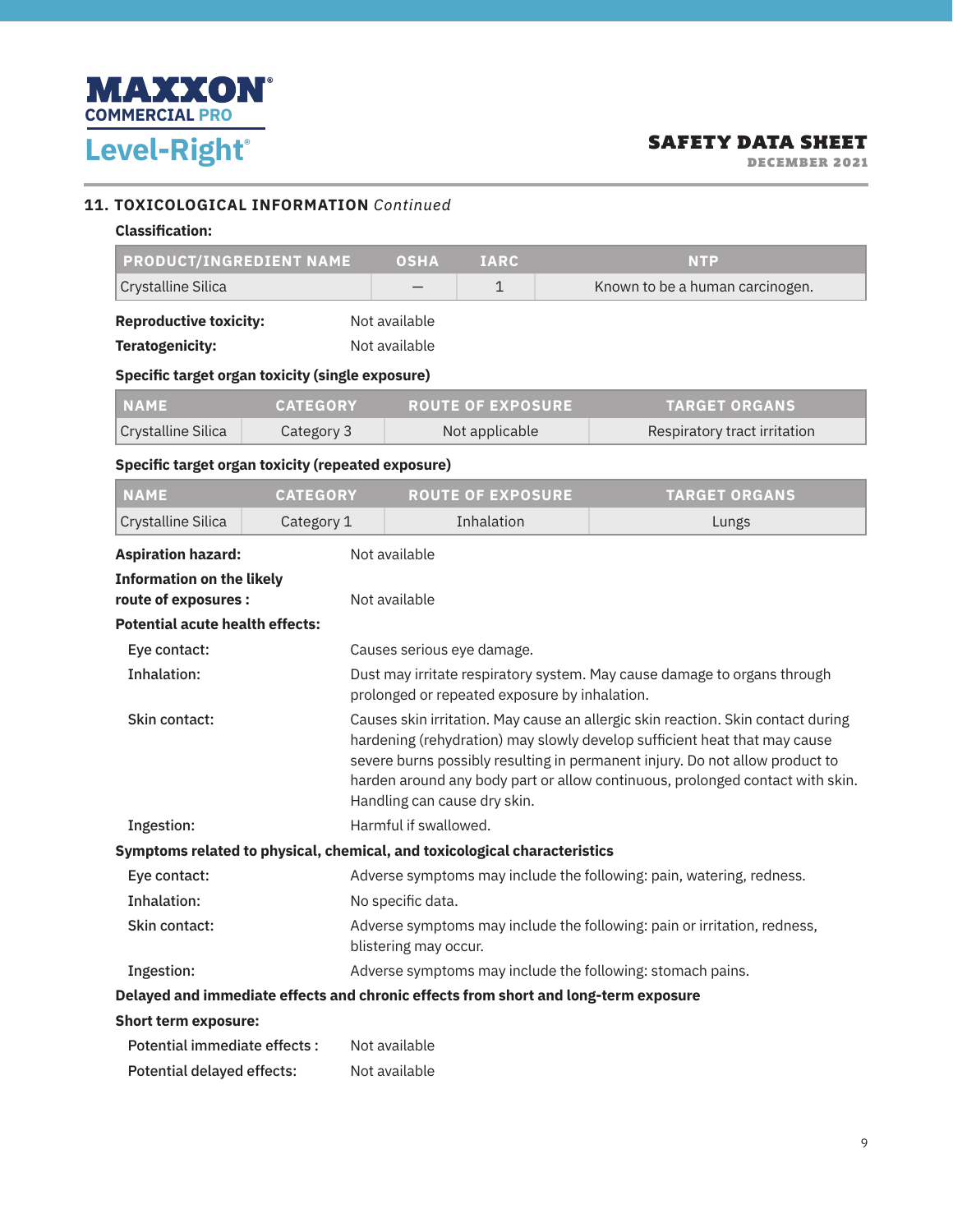

DECEMBER 2021

### **11. TOXICOLOGICAL INFORMATION** *Continued*

#### **Classification:**

| PRODUCT/INGREDIENT NAME                                                             |                 | <b>OSHA</b>                                                                                                                                                                                                                                                                                                                                                    | <b>IARC</b>              |  | <b>NTP</b>                      |
|-------------------------------------------------------------------------------------|-----------------|----------------------------------------------------------------------------------------------------------------------------------------------------------------------------------------------------------------------------------------------------------------------------------------------------------------------------------------------------------------|--------------------------|--|---------------------------------|
| Crystalline Silica                                                                  |                 |                                                                                                                                                                                                                                                                                                                                                                | $\mathbf{1}$             |  | Known to be a human carcinogen. |
| <b>Reproductive toxicity:</b>                                                       |                 | Not available                                                                                                                                                                                                                                                                                                                                                  |                          |  |                                 |
| <b>Teratogenicity:</b>                                                              |                 | Not available                                                                                                                                                                                                                                                                                                                                                  |                          |  |                                 |
| Specific target organ toxicity (single exposure)                                    |                 |                                                                                                                                                                                                                                                                                                                                                                |                          |  |                                 |
| <b>NAME</b>                                                                         | <b>CATEGORY</b> |                                                                                                                                                                                                                                                                                                                                                                | <b>ROUTE OF EXPOSURE</b> |  | <b>TARGET ORGANS</b>            |
| Crystalline Silica                                                                  | Category 3      |                                                                                                                                                                                                                                                                                                                                                                | Not applicable           |  | Respiratory tract irritation    |
| Specific target organ toxicity (repeated exposure)                                  |                 |                                                                                                                                                                                                                                                                                                                                                                |                          |  |                                 |
| <b>NAME</b>                                                                         | <b>CATEGORY</b> |                                                                                                                                                                                                                                                                                                                                                                | <b>ROUTE OF EXPOSURE</b> |  | <b>TARGET ORGANS</b>            |
| Crystalline Silica                                                                  | Category 1      |                                                                                                                                                                                                                                                                                                                                                                | Inhalation               |  | Lungs                           |
| <b>Aspiration hazard:</b>                                                           |                 | Not available                                                                                                                                                                                                                                                                                                                                                  |                          |  |                                 |
| <b>Information on the likely</b>                                                    |                 |                                                                                                                                                                                                                                                                                                                                                                |                          |  |                                 |
| route of exposures :                                                                |                 | Not available                                                                                                                                                                                                                                                                                                                                                  |                          |  |                                 |
| <b>Potential acute health effects:</b>                                              |                 |                                                                                                                                                                                                                                                                                                                                                                |                          |  |                                 |
| Eye contact:                                                                        |                 | Causes serious eye damage.                                                                                                                                                                                                                                                                                                                                     |                          |  |                                 |
| <b>Inhalation:</b>                                                                  |                 | Dust may irritate respiratory system. May cause damage to organs through<br>prolonged or repeated exposure by inhalation.                                                                                                                                                                                                                                      |                          |  |                                 |
| Skin contact:                                                                       |                 | Causes skin irritation. May cause an allergic skin reaction. Skin contact during<br>hardening (rehydration) may slowly develop sufficient heat that may cause<br>severe burns possibly resulting in permanent injury. Do not allow product to<br>harden around any body part or allow continuous, prolonged contact with skin.<br>Handling can cause dry skin. |                          |  |                                 |
| Ingestion:                                                                          |                 | Harmful if swallowed.                                                                                                                                                                                                                                                                                                                                          |                          |  |                                 |
| Symptoms related to physical, chemical, and toxicological characteristics           |                 |                                                                                                                                                                                                                                                                                                                                                                |                          |  |                                 |
| Eye contact:                                                                        |                 | Adverse symptoms may include the following: pain, watering, redness.                                                                                                                                                                                                                                                                                           |                          |  |                                 |
| Inhalation:                                                                         |                 | No specific data.                                                                                                                                                                                                                                                                                                                                              |                          |  |                                 |
| Skin contact:                                                                       |                 | Adverse symptoms may include the following: pain or irritation, redness,<br>blistering may occur.                                                                                                                                                                                                                                                              |                          |  |                                 |
| Ingestion:                                                                          |                 | Adverse symptoms may include the following: stomach pains.                                                                                                                                                                                                                                                                                                     |                          |  |                                 |
| Delayed and immediate effects and chronic effects from short and long-term exposure |                 |                                                                                                                                                                                                                                                                                                                                                                |                          |  |                                 |
| <b>Short term exposure:</b>                                                         |                 |                                                                                                                                                                                                                                                                                                                                                                |                          |  |                                 |
| Potential immediate effects :                                                       |                 | Not available                                                                                                                                                                                                                                                                                                                                                  |                          |  |                                 |
| <b>Potential delayed effects:</b>                                                   |                 | Not available                                                                                                                                                                                                                                                                                                                                                  |                          |  |                                 |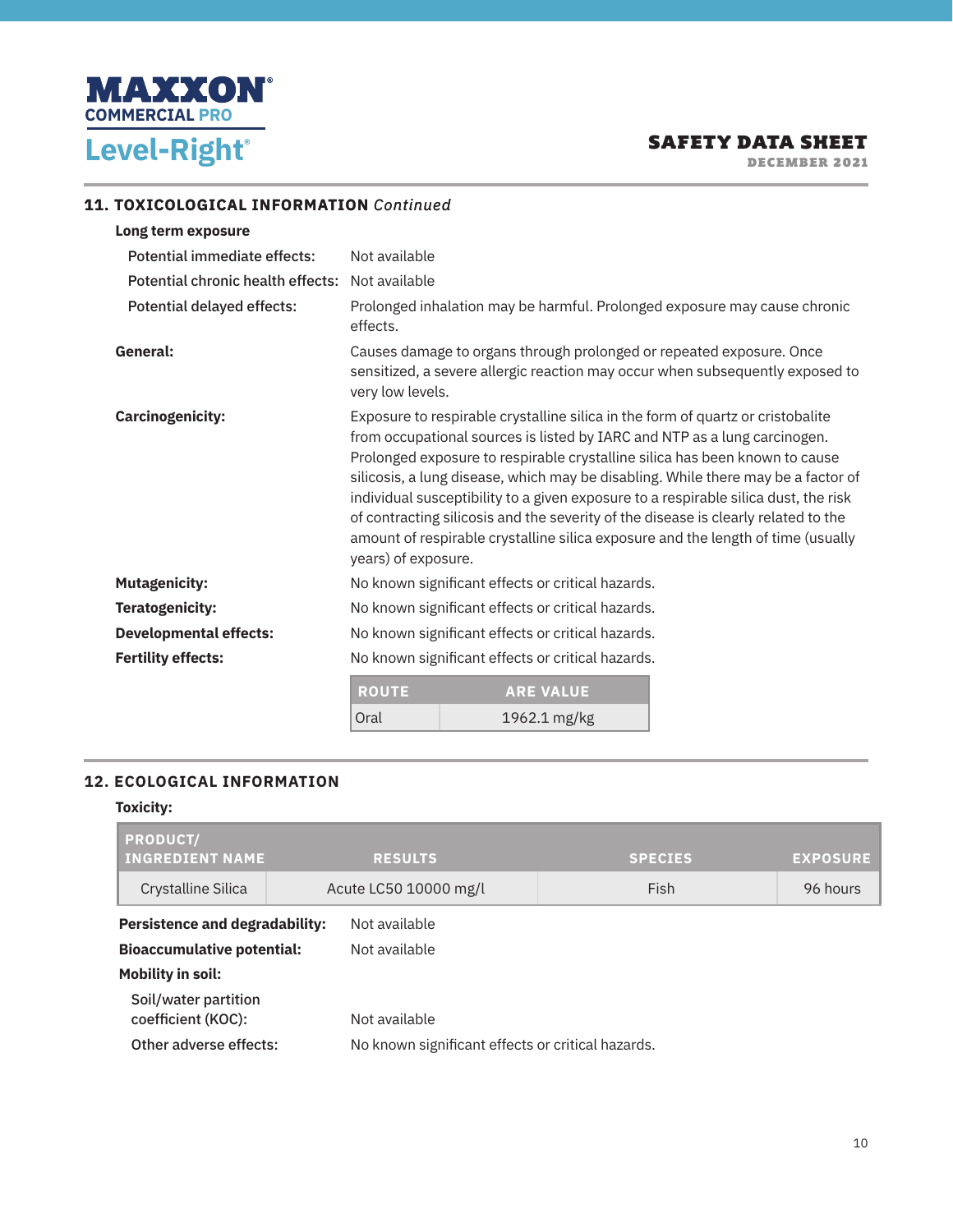

DECEMBER 2021

## **11. TOXICOLOGICAL INFORMATION** *Continued*

| Long term exposure                |                                                                                                                                                                                                                                                                                                                                                                                                                                                                                                                                                                                                                          |                                                                           |                                                                               |  |  |
|-----------------------------------|--------------------------------------------------------------------------------------------------------------------------------------------------------------------------------------------------------------------------------------------------------------------------------------------------------------------------------------------------------------------------------------------------------------------------------------------------------------------------------------------------------------------------------------------------------------------------------------------------------------------------|---------------------------------------------------------------------------|-------------------------------------------------------------------------------|--|--|
| Potential immediate effects:      | Not available                                                                                                                                                                                                                                                                                                                                                                                                                                                                                                                                                                                                            |                                                                           |                                                                               |  |  |
| Potential chronic health effects: | Not available                                                                                                                                                                                                                                                                                                                                                                                                                                                                                                                                                                                                            |                                                                           |                                                                               |  |  |
| Potential delayed effects:        | effects.                                                                                                                                                                                                                                                                                                                                                                                                                                                                                                                                                                                                                 | Prolonged inhalation may be harmful. Prolonged exposure may cause chronic |                                                                               |  |  |
| General:                          | very low levels.                                                                                                                                                                                                                                                                                                                                                                                                                                                                                                                                                                                                         | Causes damage to organs through prolonged or repeated exposure. Once      | sensitized, a severe allergic reaction may occur when subsequently exposed to |  |  |
| <b>Carcinogenicity:</b>           | Exposure to respirable crystalline silica in the form of quartz or cristobalite<br>from occupational sources is listed by IARC and NTP as a lung carcinogen.<br>Prolonged exposure to respirable crystalline silica has been known to cause<br>silicosis, a lung disease, which may be disabling. While there may be a factor of<br>individual susceptibility to a given exposure to a respirable silica dust, the risk<br>of contracting silicosis and the severity of the disease is clearly related to the<br>amount of respirable crystalline silica exposure and the length of time (usually<br>years) of exposure. |                                                                           |                                                                               |  |  |
| <b>Mutagenicity:</b>              | No known significant effects or critical hazards.                                                                                                                                                                                                                                                                                                                                                                                                                                                                                                                                                                        |                                                                           |                                                                               |  |  |
| <b>Teratogenicity:</b>            | No known significant effects or critical hazards.                                                                                                                                                                                                                                                                                                                                                                                                                                                                                                                                                                        |                                                                           |                                                                               |  |  |
| <b>Developmental effects:</b>     | No known significant effects or critical hazards.                                                                                                                                                                                                                                                                                                                                                                                                                                                                                                                                                                        |                                                                           |                                                                               |  |  |
| <b>Fertility effects:</b>         | No known significant effects or critical hazards.                                                                                                                                                                                                                                                                                                                                                                                                                                                                                                                                                                        |                                                                           |                                                                               |  |  |
|                                   | <b>ROUTE</b><br><b>ARE VALUE</b>                                                                                                                                                                                                                                                                                                                                                                                                                                                                                                                                                                                         |                                                                           |                                                                               |  |  |
|                                   | Oral                                                                                                                                                                                                                                                                                                                                                                                                                                                                                                                                                                                                                     | $19621 \text{ mo/kg}$                                                     |                                                                               |  |  |

| <b>ROUTE</b> | <b>ARE VALUE</b> |
|--------------|------------------|
| Oral         | 1962.1 mg/kg     |

## **12. ECOLOGICAL INFORMATION**

#### **Toxicity:**

| <b>PRODUCT/</b><br><b>INGREDIENT NAME</b>  | <b>RESULTS</b>                                    | <b>SPECIES</b> | <b>EXPOSURE</b> |
|--------------------------------------------|---------------------------------------------------|----------------|-----------------|
| Crystalline Silica                         | Acute LC50 10000 mg/l                             | Fish           | 96 hours        |
| <b>Persistence and degradability:</b>      | Not available                                     |                |                 |
| <b>Bioaccumulative potential:</b>          | Not available                                     |                |                 |
| <b>Mobility in soil:</b>                   |                                                   |                |                 |
| Soil/water partition<br>coefficient (KOC): | Not available                                     |                |                 |
| Other adverse effects:                     | No known significant effects or critical hazards. |                |                 |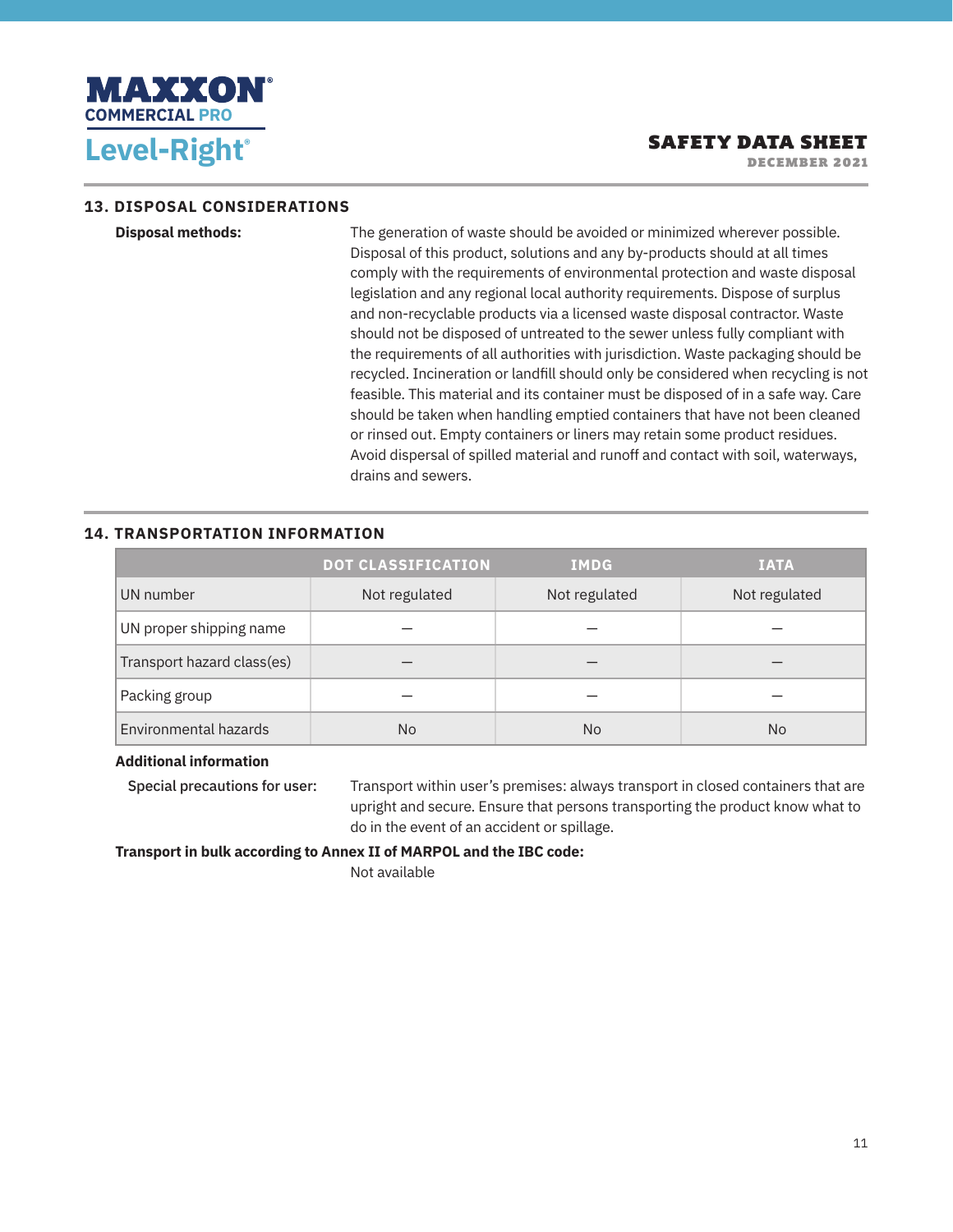

DECEMBER 2021

#### **13. DISPOSAL CONSIDERATIONS**

**Disposal methods:** The generation of waste should be avoided or minimized wherever possible. Disposal of this product, solutions and any by-products should at all times comply with the requirements of environmental protection and waste disposal legislation and any regional local authority requirements. Dispose of surplus and non-recyclable products via a licensed waste disposal contractor. Waste should not be disposed of untreated to the sewer unless fully compliant with the requirements of all authorities with jurisdiction. Waste packaging should be recycled. Incineration or landfill should only be considered when recycling is not feasible. This material and its container must be disposed of in a safe way. Care should be taken when handling emptied containers that have not been cleaned or rinsed out. Empty containers or liners may retain some product residues. Avoid dispersal of spilled material and runoff and contact with soil, waterways, drains and sewers.

### **14. TRANSPORTATION INFORMATION**

|                            | <b>DOT CLASSIFICATION</b> | <b>IMDG</b>   | <b>IATA</b>   |
|----------------------------|---------------------------|---------------|---------------|
| UN number                  | Not regulated             | Not regulated | Not regulated |
| UN proper shipping name    |                           |               |               |
| Transport hazard class(es) |                           |               |               |
| Packing group              |                           |               |               |
| Environmental hazards      | N <sub>o</sub>            | No            | <b>No</b>     |

#### **Additional information**

Special precautions for user: Transport within user's premises: always transport in closed containers that are upright and secure. Ensure that persons transporting the product know what to do in the event of an accident or spillage.

**Transport in bulk according to Annex II of MARPOL and the IBC code:** 

Not available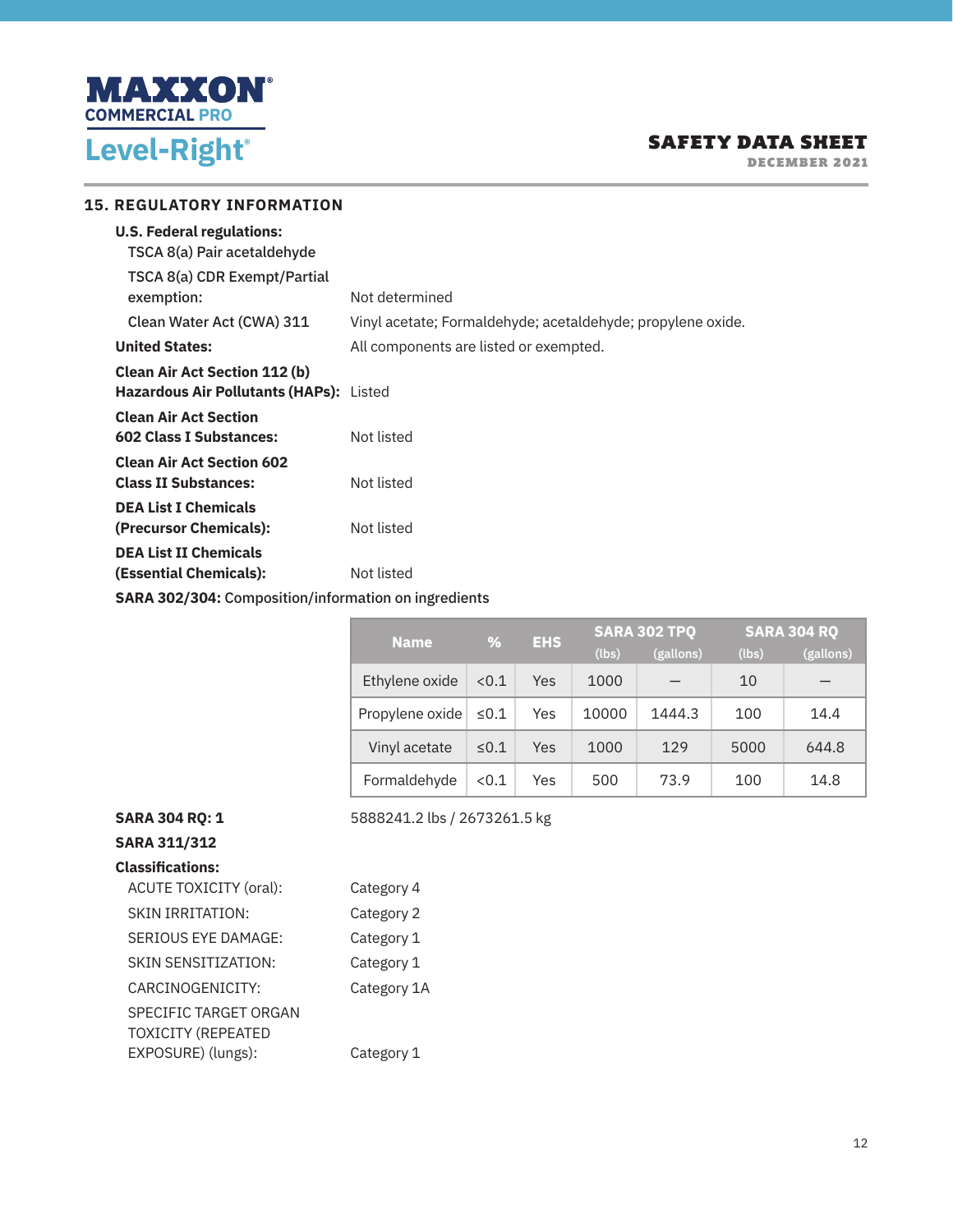

DECEMBER 2021

| Not determined                                              |
|-------------------------------------------------------------|
| Vinyl acetate; Formaldehyde; acetaldehyde; propylene oxide. |
| All components are listed or exempted.                      |
| Hazardous Air Pollutants (HAPs): Listed                     |
| Not listed                                                  |
| Not listed                                                  |
| Not listed                                                  |
| Not listed                                                  |
| <b>SARA 302/304: Composition/information on ingredients</b> |
| <b>15. REGULATORY INFORMATION</b>                           |

| Name.           | %          | <b>EHS</b> |       | <b>SARA 302 TPQ</b> |       | <b>SARA 304 RQ</b> |
|-----------------|------------|------------|-------|---------------------|-------|--------------------|
|                 |            |            | (lbs) | (gallons)           | (lbs) | (gallons)          |
| Ethylene oxide  | < 0.1      | Yes        | 1000  |                     | 10    |                    |
| Propylene oxide | $\leq 0.1$ | Yes        | 10000 | 1444.3              | 100   | 14.4               |
| Vinyl acetate   | $\leq 0.1$ | Yes        | 1000  | 129                 | 5000  | 644.8              |
| Formaldehyde    | < 0.1      | Yes        | 500   | 73.9                | 100   | 14.8               |

**SARA 304 RQ: 1** 5888241.2 lbs / 2673261.5 kg

### **SARA 311/312 Classifications:**

| <b>ACUTE TOXICITY (oral):</b>                      | Category 4  |
|----------------------------------------------------|-------------|
| <b>SKIN IRRITATION:</b>                            | Category 2  |
| SERIOUS EYE DAMAGE:                                | Category 1  |
| SKIN SENSITIZATION:                                | Category 1  |
| CARCINOGENICITY:                                   | Category 1A |
| SPECIFIC TARGET ORGAN<br><b>TOXICITY (REPEATED</b> |             |
| EXPOSURE) (lungs):                                 | Category 1  |
|                                                    |             |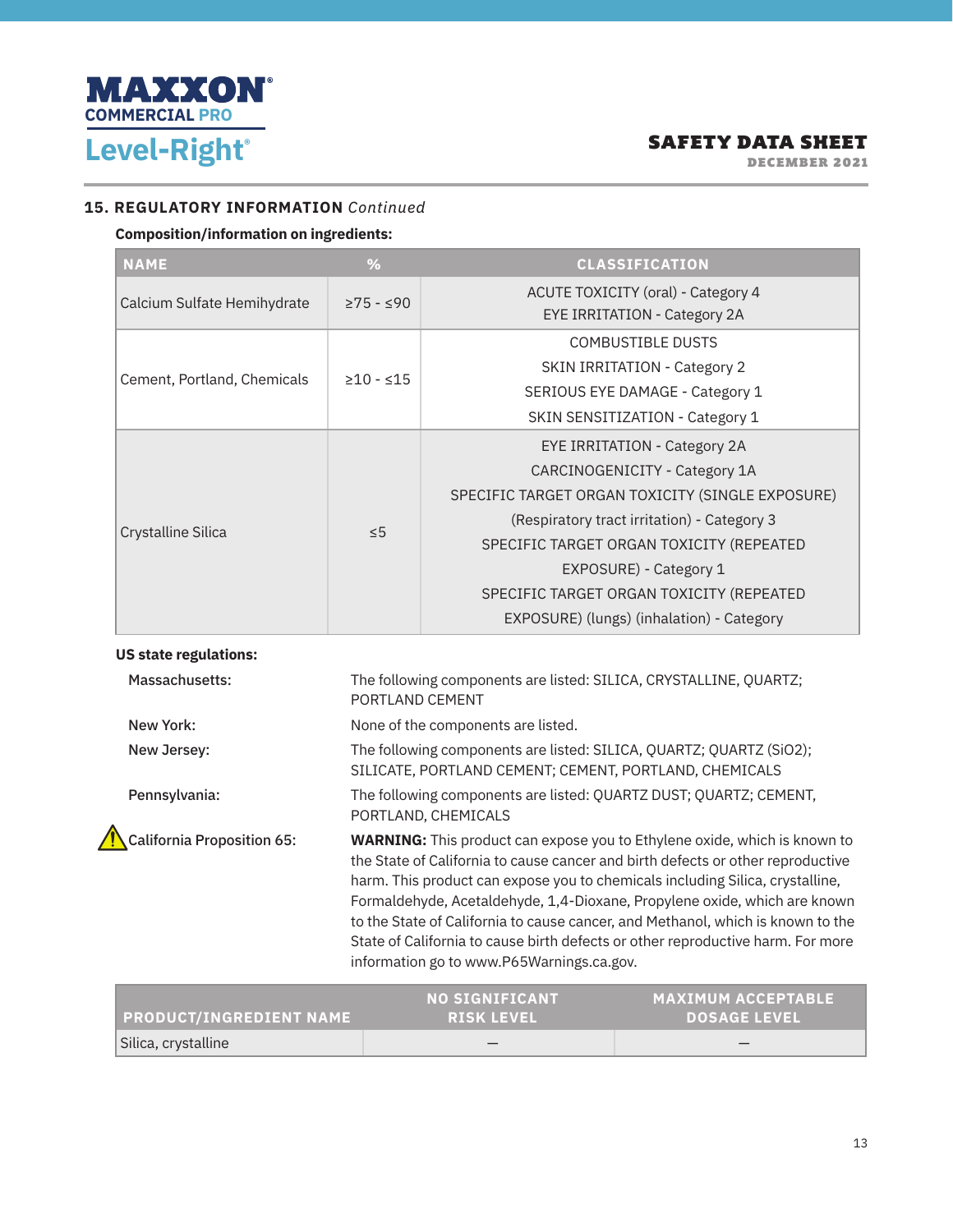

DECEMBER 2021

#### **15. REGULATORY INFORMATION** *Continued*

## **Composition/information on ingredients:**

| <b>NAME</b>                  | %                                                   | <b>CLASSIFICATION</b>                                                                                                                                                                                                                              |  |  |  |  |
|------------------------------|-----------------------------------------------------|----------------------------------------------------------------------------------------------------------------------------------------------------------------------------------------------------------------------------------------------------|--|--|--|--|
| Calcium Sulfate Hemihydrate  |                                                     | ACUTE TOXICITY (oral) - Category 4                                                                                                                                                                                                                 |  |  |  |  |
|                              | $\geq$ 75 - $\leq$ 90<br>$\geq 10 - 15$<br>$\leq 5$ | EYE IRRITATION - Category 2A                                                                                                                                                                                                                       |  |  |  |  |
|                              |                                                     | <b>COMBUSTIBLE DUSTS</b>                                                                                                                                                                                                                           |  |  |  |  |
|                              |                                                     | <b>SKIN IRRITATION - Category 2</b>                                                                                                                                                                                                                |  |  |  |  |
| Cement, Portland, Chemicals  |                                                     | SERIOUS EYE DAMAGE - Category 1                                                                                                                                                                                                                    |  |  |  |  |
|                              |                                                     | SKIN SENSITIZATION - Category 1                                                                                                                                                                                                                    |  |  |  |  |
|                              | <b>EYE IRRITATION - Category 2A</b>                 |                                                                                                                                                                                                                                                    |  |  |  |  |
|                              |                                                     | CARCINOGENICITY - Category 1A<br>SPECIFIC TARGET ORGAN TOXICITY (SINGLE EXPOSURE)<br>(Respiratory tract irritation) - Category 3<br>SPECIFIC TARGET ORGAN TOXICITY (REPEATED<br>EXPOSURE) - Category 1<br>SPECIFIC TARGET ORGAN TOXICITY (REPEATED |  |  |  |  |
|                              |                                                     |                                                                                                                                                                                                                                                    |  |  |  |  |
|                              |                                                     |                                                                                                                                                                                                                                                    |  |  |  |  |
| Crystalline Silica           |                                                     |                                                                                                                                                                                                                                                    |  |  |  |  |
|                              |                                                     |                                                                                                                                                                                                                                                    |  |  |  |  |
|                              |                                                     |                                                                                                                                                                                                                                                    |  |  |  |  |
|                              |                                                     | EXPOSURE) (lungs) (inhalation) - Category                                                                                                                                                                                                          |  |  |  |  |
| <b>US state regulations:</b> |                                                     |                                                                                                                                                                                                                                                    |  |  |  |  |

| Massachusetts:                    | The following components are listed: SILICA, CRYSTALLINE, QUARTZ;<br>PORTLAND CEMENT                                                                                                                                                                                                                                                                                                                                                                                                                                                                 |
|-----------------------------------|------------------------------------------------------------------------------------------------------------------------------------------------------------------------------------------------------------------------------------------------------------------------------------------------------------------------------------------------------------------------------------------------------------------------------------------------------------------------------------------------------------------------------------------------------|
| New York:                         | None of the components are listed.                                                                                                                                                                                                                                                                                                                                                                                                                                                                                                                   |
| New Jersey:                       | The following components are listed: SILICA, QUARTZ; QUARTZ (SiO2);<br>SILICATE, PORTLAND CEMENT; CEMENT, PORTLAND, CHEMICALS                                                                                                                                                                                                                                                                                                                                                                                                                        |
| Pennsylvania:                     | The following components are listed: QUARTZ DUST; QUARTZ; CEMENT,<br>PORTLAND, CHEMICALS                                                                                                                                                                                                                                                                                                                                                                                                                                                             |
| <b>California Proposition 65:</b> | <b>WARNING:</b> This product can expose you to Ethylene oxide, which is known to<br>the State of California to cause cancer and birth defects or other reproductive<br>harm. This product can expose you to chemicals including Silica, crystalline,<br>Formaldehyde, Acetaldehyde, 1,4-Dioxane, Propylene oxide, which are known<br>to the State of California to cause cancer, and Methanol, which is known to the<br>State of California to cause birth defects or other reproductive harm. For more<br>information go to www.P65Warnings.ca.gov. |

| <b>PRODUCT/INGREDIENT NAME</b> | <b>NO SIGNIFICANT</b><br><b>RISK LEVEL</b> | <b>MAXIMUM ACCEPTABLE</b><br><b>DOSAGE LEVEL</b> |
|--------------------------------|--------------------------------------------|--------------------------------------------------|
| Silica, crystalline            |                                            |                                                  |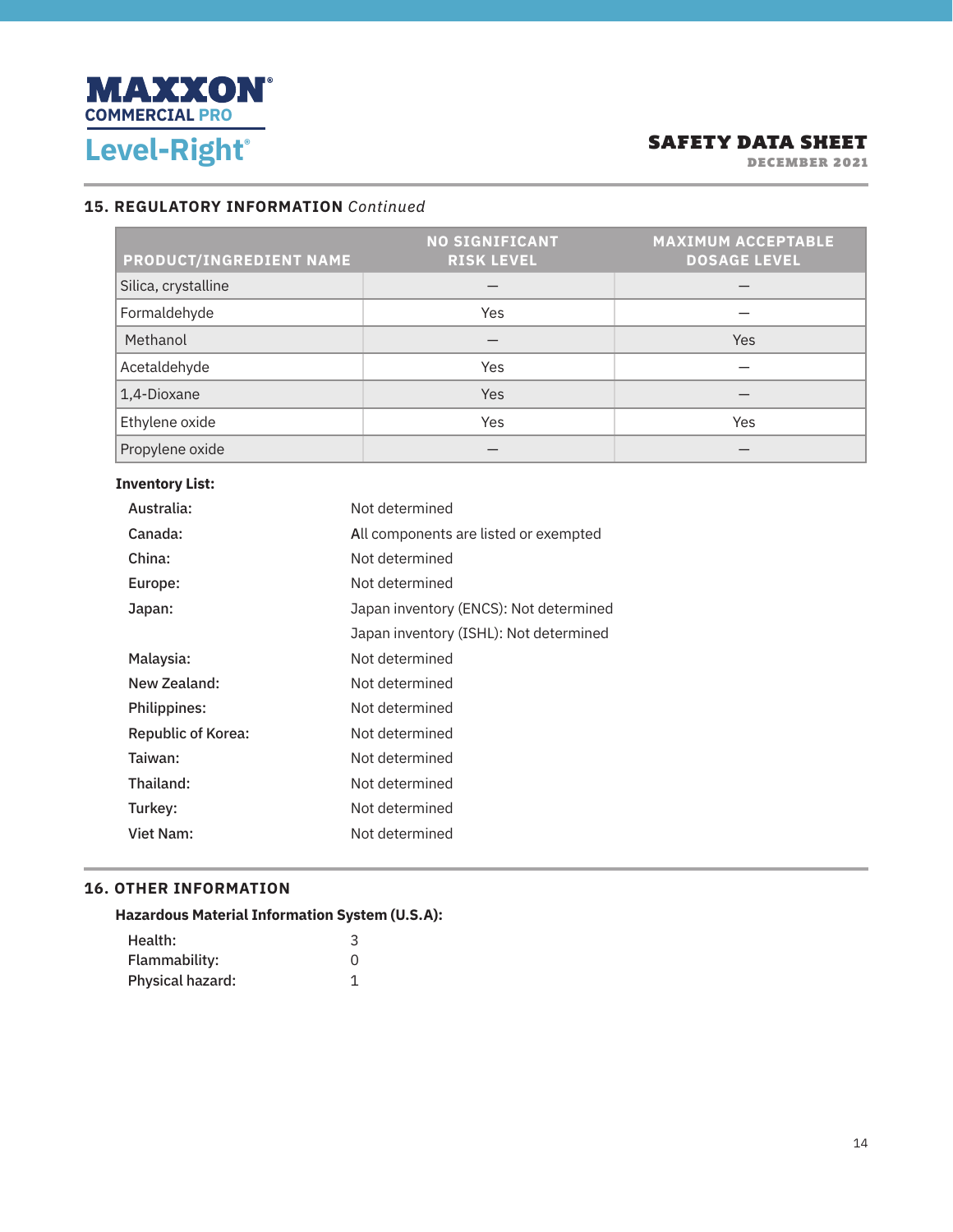

DECEMBER 2021

#### **15. REGULATORY INFORMATION** *Continued*

| PRODUCT/INGREDIENT NAME | <b>NO SIGNIFICANT</b><br><b>RISK LEVEL</b> | <b>MAXIMUM ACCEPTABLE</b><br><b>DOSAGE LEVEL</b> |
|-------------------------|--------------------------------------------|--------------------------------------------------|
| Silica, crystalline     |                                            |                                                  |
| Formaldehyde            | Yes                                        |                                                  |
| Methanol                |                                            | Yes                                              |
| Acetaldehyde            | Yes                                        |                                                  |
| 1,4-Dioxane             | <b>Yes</b>                                 |                                                  |
| Ethylene oxide          | Yes                                        | Yes                                              |
| Propylene oxide         |                                            |                                                  |

| <b>Inventory List:</b> |  |
|------------------------|--|
|------------------------|--|

| Australia:                | Not determined                         |
|---------------------------|----------------------------------------|
| Canada:                   | All components are listed or exempted  |
| China:                    | Not determined                         |
| Europe:                   | Not determined                         |
| Japan:                    | Japan inventory (ENCS): Not determined |
|                           | Japan inventory (ISHL): Not determined |
| Malaysia:                 | Not determined                         |
| New Zealand:              | Not determined                         |
| Philippines:              | Not determined                         |
| <b>Republic of Korea:</b> | Not determined                         |
| Taiwan:                   | Not determined                         |
| Thailand:                 | Not determined                         |
| Turkey:                   | Not determined                         |
| Viet Nam:                 | Not determined                         |
|                           |                                        |

#### **16. OTHER INFORMATION**

|         | <b>Hazardous Material Information System (U.S.A):</b> |
|---------|-------------------------------------------------------|
| Health: |                                                       |

| Health:          |  |
|------------------|--|
| Flammability:    |  |
| Physical hazard: |  |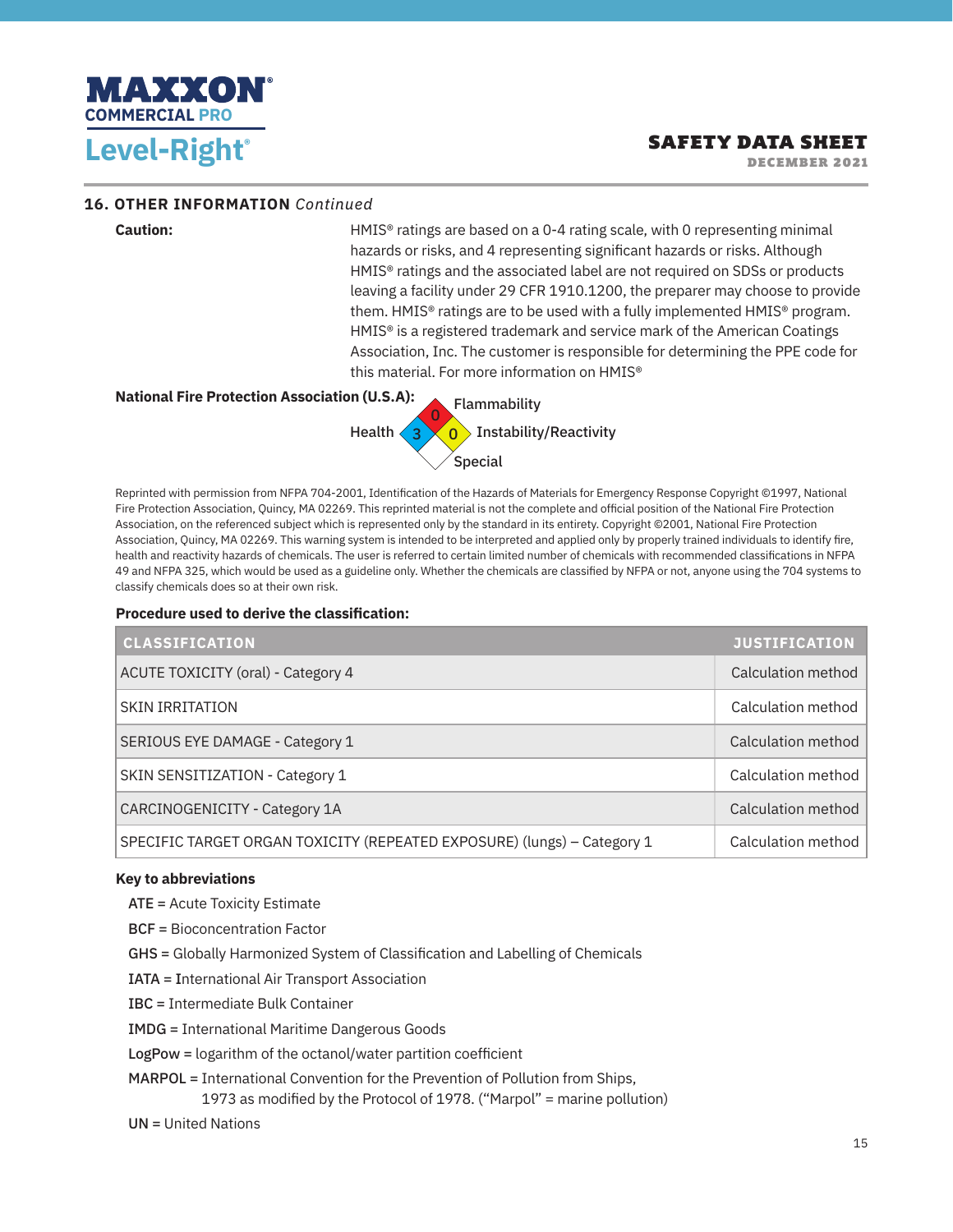

DECEMBER 2021

#### **16. OTHER INFORMATION** *Continued*

**Caution:** HMIS® ratings are based on a 0-4 rating scale, with 0 representing minimal hazards or risks, and 4 representing significant hazards or risks. Although HMIS® ratings and the associated label are not required on SDSs or products leaving a facility under 29 CFR 1910.1200, the preparer may choose to provide them. HMIS® ratings are to be used with a fully implemented HMIS® program. HMIS® is a registered trademark and service mark of the American Coatings Association, Inc. The customer is responsible for determining the PPE code for this material. For more information on HMIS®

#### **National Fire Protection Association (U.S.A):** Health  $\langle 3$ 0 0 Flammability Instability/Reactivity Special

Reprinted with permission from NFPA 704-2001, Identification of the Hazards of Materials for Emergency Response Copyright ©1997, National Fire Protection Association, Quincy, MA 02269. This reprinted material is not the complete and official position of the National Fire Protection Association, on the referenced subject which is represented only by the standard in its entirety. Copyright ©2001, National Fire Protection Association, Quincy, MA 02269. This warning system is intended to be interpreted and applied only by properly trained individuals to identify fire, health and reactivity hazards of chemicals. The user is referred to certain limited number of chemicals with recommended classifications in NFPA 49 and NFPA 325, which would be used as a guideline only. Whether the chemicals are classified by NFPA or not, anyone using the 704 systems to classify chemicals does so at their own risk.

#### **Procedure used to derive the classification:**

| <b>CLASSIFICATION</b>                                                   | <b>JUSTIFICATION</b> |
|-------------------------------------------------------------------------|----------------------|
| ACUTE TOXICITY (oral) - Category 4                                      | Calculation method   |
| <b>SKIN IRRITATION</b>                                                  | Calculation method   |
| SERIOUS EYE DAMAGE - Category 1                                         | Calculation method   |
| SKIN SENSITIZATION - Category 1                                         | Calculation method   |
| CARCINOGENICITY - Category 1A                                           | Calculation method   |
| SPECIFIC TARGET ORGAN TOXICITY (REPEATED EXPOSURE) (lungs) - Category 1 | Calculation method   |

#### **Key to abbreviations**

ATE = Acute Toxicity Estimate

- BCF = Bioconcentration Factor
- GHS = Globally Harmonized System of Classification and Labelling of Chemicals
- IATA = International Air Transport Association
- IBC = Intermediate Bulk Container
- IMDG = International Maritime Dangerous Goods
- LogPow = logarithm of the octanol/water partition coefficient
- MARPOL = International Convention for the Prevention of Pollution from Ships,
	- 1973 as modified by the Protocol of 1978. ("Marpol" = marine pollution)
- UN = United Nations